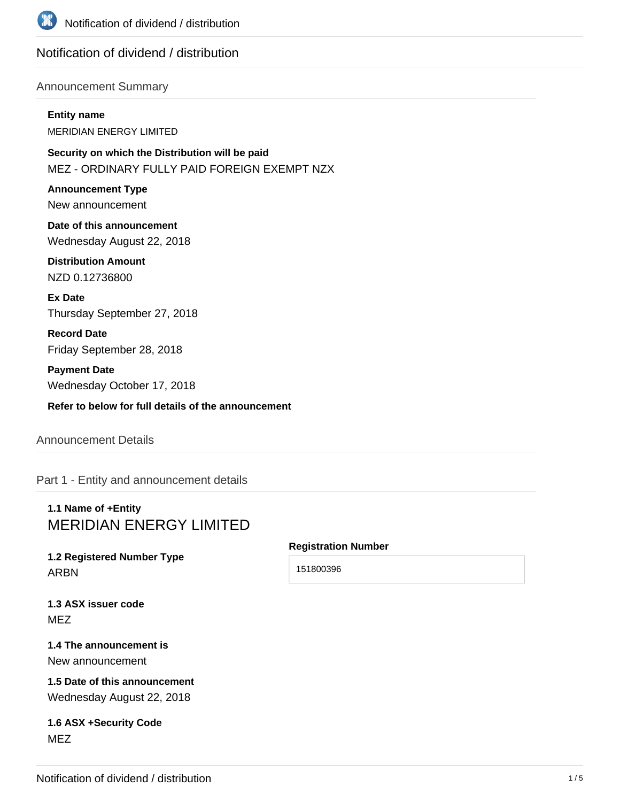

# Notification of dividend / distribution

## Announcement Summary

#### **Entity name**

MERIDIAN ENERGY LIMITED

**Security on which the Distribution will be paid** MEZ - ORDINARY FULLY PAID FOREIGN EXEMPT NZX

**Announcement Type** New announcement

**Date of this announcement** Wednesday August 22, 2018

**Distribution Amount** NZD 0.12736800

**Ex Date** Thursday September 27, 2018

**Record Date** Friday September 28, 2018

**Payment Date** Wednesday October 17, 2018

**Refer to below for full details of the announcement**

## Announcement Details

Part 1 - Entity and announcement details

# **1.1 Name of +Entity** MERIDIAN ENERGY LIMITED

# **1.2 Registered Number Type** ARBN

## **Registration Number**

151800396

**1.3 ASX issuer code** MEZ

## **1.4 The announcement is** New announcement

**1.5 Date of this announcement** Wednesday August 22, 2018

# **1.6 ASX +Security Code** MEZ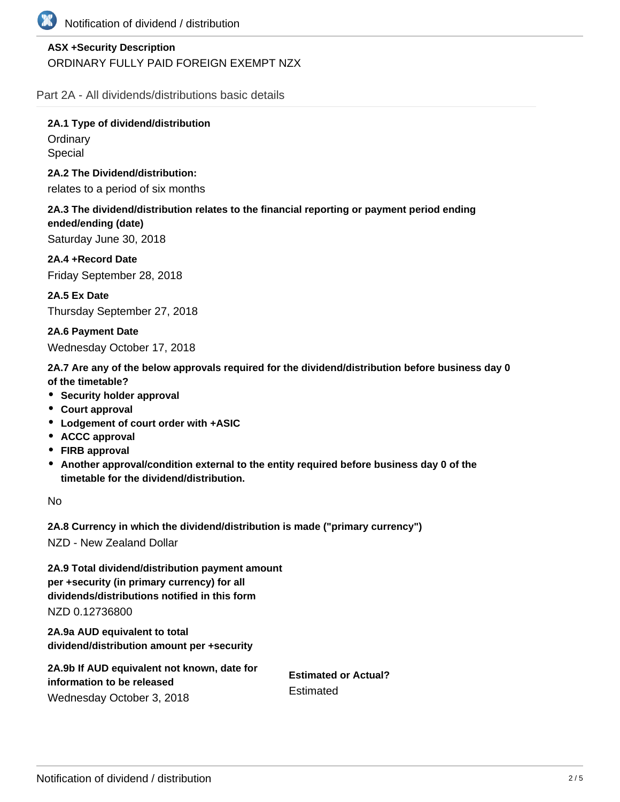

# **ASX +Security Description** ORDINARY FULLY PAID FOREIGN EXEMPT NZX

Part 2A - All dividends/distributions basic details

**2A.1 Type of dividend/distribution Ordinary** Special

**2A.2 The Dividend/distribution:**

relates to a period of six months

**2A.3 The dividend/distribution relates to the financial reporting or payment period ending ended/ending (date)** Saturday June 30, 2018

**2A.4 +Record Date** Friday September 28, 2018

**2A.5 Ex Date** Thursday September 27, 2018

**2A.6 Payment Date**

Wednesday October 17, 2018

**2A.7 Are any of the below approvals required for the dividend/distribution before business day 0 of the timetable?**

- **•** Security holder approval
- **Court approval**
- **Lodgement of court order with +ASIC**
- **ACCC approval**
- **FIRB approval**
- **Another approval/condition external to the entity required before business day 0 of the timetable for the dividend/distribution.**

No

**2A.8 Currency in which the dividend/distribution is made ("primary currency")**

NZD - New Zealand Dollar

**2A.9 Total dividend/distribution payment amount per +security (in primary currency) for all dividends/distributions notified in this form** NZD 0.12736800

**2A.9a AUD equivalent to total dividend/distribution amount per +security**

| 2A.9b If AUD equivalent not known, date for | <b>Estimated or Actual?</b><br>Estimated |
|---------------------------------------------|------------------------------------------|
| information to be released                  |                                          |
| Wednesday October 3, 2018                   |                                          |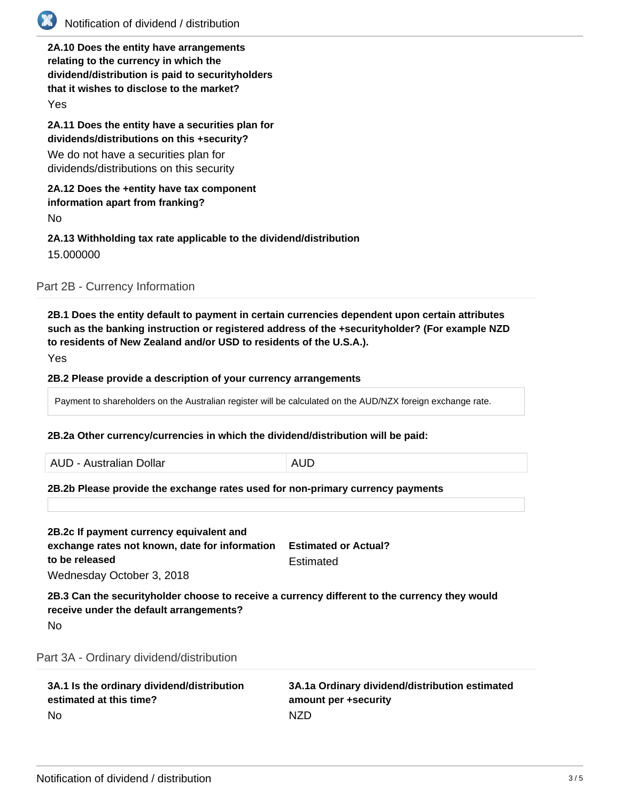

# Notification of dividend / distribution

**2A.10 Does the entity have arrangements relating to the currency in which the dividend/distribution is paid to securityholders that it wishes to disclose to the market?**

Yes

**2A.11 Does the entity have a securities plan for dividends/distributions on this +security?**

We do not have a securities plan for dividends/distributions on this security

### **2A.12 Does the +entity have tax component information apart from franking?**

No

## **2A.13 Withholding tax rate applicable to the dividend/distribution** 15.000000

Part 2B - Currency Information

**2B.1 Does the entity default to payment in certain currencies dependent upon certain attributes such as the banking instruction or registered address of the +securityholder? (For example NZD to residents of New Zealand and/or USD to residents of the U.S.A.).**

Yes

### **2B.2 Please provide a description of your currency arrangements**

Payment to shareholders on the Australian register will be calculated on the AUD/NZX foreign exchange rate.

### **2B.2a Other currency/currencies in which the dividend/distribution will be paid:**

AUD - Australian Dollar **AUD** 

### **2B.2b Please provide the exchange rates used for non-primary currency payments**

| 2B.2c If payment currency equivalent and<br>exchange rates not known, date for information<br>to be released<br>Wednesday October 3, 2018             | <b>Estimated or Actual?</b><br>Estimated |
|-------------------------------------------------------------------------------------------------------------------------------------------------------|------------------------------------------|
| 2B.3 Can the securityholder choose to receive a currency different to the currency they would<br>receive under the default arrangements?<br><b>No</b> |                                          |
| Part 3A - Ordinary dividend/distribution                                                                                                              |                                          |

| 3A.1 Is the ordinary dividend/distribution | 3A.1a Ordinary dividend/distribution estimated |
|--------------------------------------------|------------------------------------------------|
| estimated at this time?                    | amount per +security                           |
| - No                                       | NZD                                            |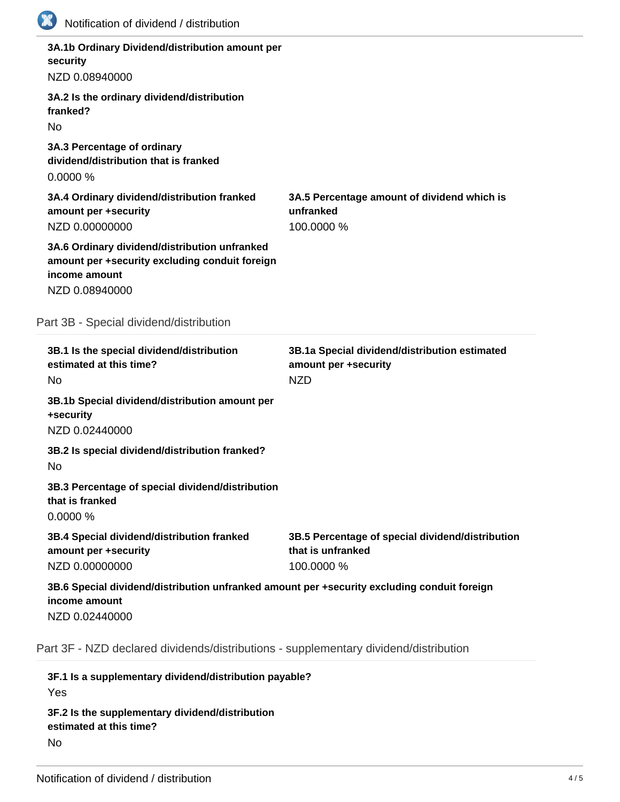| Notification of dividend / distribution                                                                                            |                                                                                     |
|------------------------------------------------------------------------------------------------------------------------------------|-------------------------------------------------------------------------------------|
| 3A.1b Ordinary Dividend/distribution amount per<br>security<br>NZD 0.08940000                                                      |                                                                                     |
| 3A.2 Is the ordinary dividend/distribution<br>franked?<br><b>No</b>                                                                |                                                                                     |
| 3A.3 Percentage of ordinary<br>dividend/distribution that is franked<br>0.0000%                                                    |                                                                                     |
| 3A.4 Ordinary dividend/distribution franked<br>amount per +security<br>NZD 0.00000000                                              | 3A.5 Percentage amount of dividend which is<br>unfranked<br>100.0000 %              |
| 3A.6 Ordinary dividend/distribution unfranked<br>amount per +security excluding conduit foreign<br>income amount<br>NZD 0.08940000 |                                                                                     |
| Part 3B - Special dividend/distribution                                                                                            |                                                                                     |
| 3B.1 Is the special dividend/distribution<br>estimated at this time?                                                               | 3B.1a Special dividend/distribution estimated                                       |
| No                                                                                                                                 | amount per +security<br><b>NZD</b>                                                  |
| 3B.1b Special dividend/distribution amount per<br>+security<br>NZD 0.02440000                                                      |                                                                                     |
| 3B.2 Is special dividend/distribution franked?<br>No                                                                               |                                                                                     |
| 3B.3 Percentage of special dividend/distribution<br>that is franked<br>0.0000%                                                     |                                                                                     |
| 3B.4 Special dividend/distribution franked<br>amount per +security<br>NZD 0.00000000                                               | 3B.5 Percentage of special dividend/distribution<br>that is unfranked<br>100.0000 % |
| 3B.6 Special dividend/distribution unfranked amount per +security excluding conduit foreign<br>income amount<br>NZD 0.02440000     |                                                                                     |
| Part 3F - NZD declared dividends/distributions - supplementary dividend/distribution                                               |                                                                                     |

**3F.1 Is a supplementary dividend/distribution payable?** Yes **3F.2 Is the supplementary dividend/distribution estimated at this time?** No